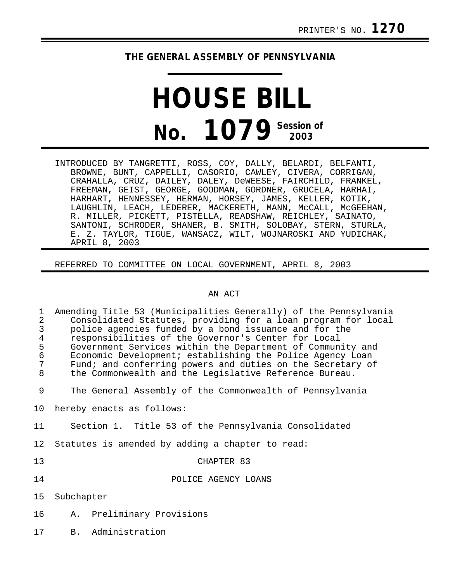# **THE GENERAL ASSEMBLY OF PENNSYLVANIA**

# **HOUSE BILL No. 1079 Session of 2003**

INTRODUCED BY TANGRETTI, ROSS, COY, DALLY, BELARDI, BELFANTI, BROWNE, BUNT, CAPPELLI, CASORIO, CAWLEY, CIVERA, CORRIGAN, CRAHALLA, CRUZ, DAILEY, DALEY, DeWEESE, FAIRCHILD, FRANKEL, FREEMAN, GEIST, GEORGE, GOODMAN, GORDNER, GRUCELA, HARHAI, HARHART, HENNESSEY, HERMAN, HORSEY, JAMES, KELLER, KOTIK, LAUGHLIN, LEACH, LEDERER, MACKERETH, MANN, McCALL, McGEEHAN, R. MILLER, PICKETT, PISTELLA, READSHAW, REICHLEY, SAINATO, SANTONI, SCHRODER, SHANER, B. SMITH, SOLOBAY, STERN, STURLA, E. Z. TAYLOR, TIGUE, WANSACZ, WILT, WOJNAROSKI AND YUDICHAK, APRIL 8, 2003

REFERRED TO COMMITTEE ON LOCAL GOVERNMENT, APRIL 8, 2003

### AN ACT

| 1<br>$\overline{2}$<br>$\mathbf{3}$<br>$\bf 4$<br>5<br>$\epsilon$<br>$\sqrt{ }$<br>8 | Amending Title 53 (Municipalities Generally) of the Pennsylvania<br>Consolidated Statutes, providing for a loan program for local<br>police agencies funded by a bond issuance and for the<br>responsibilities of the Governor's Center for Local<br>Government Services within the Department of Community and<br>Economic Development; establishing the Police Agency Loan<br>Fund; and conferring powers and duties on the Secretary of<br>the Commonwealth and the Legislative Reference Bureau. |  |  |  |  |  |  |  |  |  |  |
|--------------------------------------------------------------------------------------|------------------------------------------------------------------------------------------------------------------------------------------------------------------------------------------------------------------------------------------------------------------------------------------------------------------------------------------------------------------------------------------------------------------------------------------------------------------------------------------------------|--|--|--|--|--|--|--|--|--|--|
| 9                                                                                    | The General Assembly of the Commonwealth of Pennsylvania                                                                                                                                                                                                                                                                                                                                                                                                                                             |  |  |  |  |  |  |  |  |  |  |
| 10 <sub>1</sub>                                                                      | hereby enacts as follows:                                                                                                                                                                                                                                                                                                                                                                                                                                                                            |  |  |  |  |  |  |  |  |  |  |
| 11                                                                                   | Section 1. Title 53 of the Pennsylvania Consolidated                                                                                                                                                                                                                                                                                                                                                                                                                                                 |  |  |  |  |  |  |  |  |  |  |
| 12                                                                                   | Statutes is amended by adding a chapter to read:                                                                                                                                                                                                                                                                                                                                                                                                                                                     |  |  |  |  |  |  |  |  |  |  |
| 13                                                                                   | CHAPTER 83                                                                                                                                                                                                                                                                                                                                                                                                                                                                                           |  |  |  |  |  |  |  |  |  |  |
| 14                                                                                   | POLICE AGENCY LOANS                                                                                                                                                                                                                                                                                                                                                                                                                                                                                  |  |  |  |  |  |  |  |  |  |  |
| 15                                                                                   | Subchapter                                                                                                                                                                                                                                                                                                                                                                                                                                                                                           |  |  |  |  |  |  |  |  |  |  |
| 16                                                                                   | A. Preliminary Provisions                                                                                                                                                                                                                                                                                                                                                                                                                                                                            |  |  |  |  |  |  |  |  |  |  |
| 17                                                                                   | Administration<br>$B_{\perp}$                                                                                                                                                                                                                                                                                                                                                                                                                                                                        |  |  |  |  |  |  |  |  |  |  |
|                                                                                      |                                                                                                                                                                                                                                                                                                                                                                                                                                                                                                      |  |  |  |  |  |  |  |  |  |  |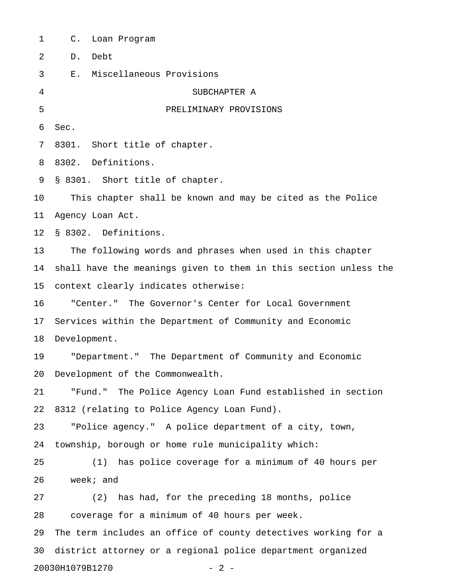1 C. Loan Program 2 D. Debt 3 E. Miscellaneous Provisions 4 SUBCHAPTER A 5 PRELIMINARY PROVISIONS 6 Sec. 7 8301. Short title of chapter. 8 8302. Definitions. 9 § 8301. Short title of chapter. 10 This chapter shall be known and may be cited as the Police 11 Agency Loan Act. 12 § 8302. Definitions. 13 The following words and phrases when used in this chapter 14 shall have the meanings given to them in this section unless the 15 context clearly indicates otherwise: 16 "Center." The Governor's Center for Local Government 17 Services within the Department of Community and Economic 18 Development. 19 "Department." The Department of Community and Economic 20 Development of the Commonwealth. 21 "Fund." The Police Agency Loan Fund established in section 22 8312 (relating to Police Agency Loan Fund). 23 "Police agency." A police department of a city, town, 24 township, borough or home rule municipality which: 25 (1) has police coverage for a minimum of 40 hours per 26 week; and 27 (2) has had, for the preceding 18 months, police 28 coverage for a minimum of 40 hours per week. 29 The term includes an office of county detectives working for a 30 district attorney or a regional police department organized

20030H1079B1270 - 2 -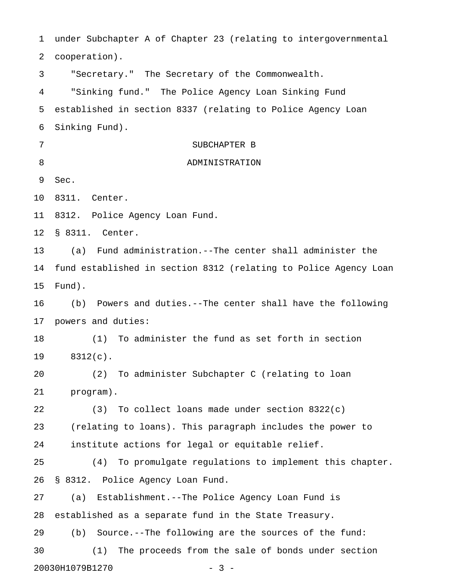1 under Subchapter A of Chapter 23 (relating to intergovernmental 2 cooperation). 3 "Secretary." The Secretary of the Commonwealth. 4 "Sinking fund." The Police Agency Loan Sinking Fund 5 established in section 8337 (relating to Police Agency Loan 6 Sinking Fund). 7 SUBCHAPTER B 8 ADMINISTRATION 9 Sec. 10 8311. Center. 11 8312. Police Agency Loan Fund. 12 § 8311. Center. 13 (a) Fund administration.--The center shall administer the 14 fund established in section 8312 (relating to Police Agency Loan 15 Fund). 16 (b) Powers and duties.--The center shall have the following 17 powers and duties: 18 (1) To administer the fund as set forth in section 19 8312(c). 20 (2) To administer Subchapter C (relating to loan 21 program). 22 (3) To collect loans made under section 8322(c) 23 (relating to loans). This paragraph includes the power to 24 institute actions for legal or equitable relief. 25 (4) To promulgate regulations to implement this chapter. 26 § 8312. Police Agency Loan Fund. 27 (a) Establishment.--The Police Agency Loan Fund is 28 established as a separate fund in the State Treasury. 29 (b) Source.--The following are the sources of the fund: 30 (1) The proceeds from the sale of bonds under section 20030H1079B1270 - 3 -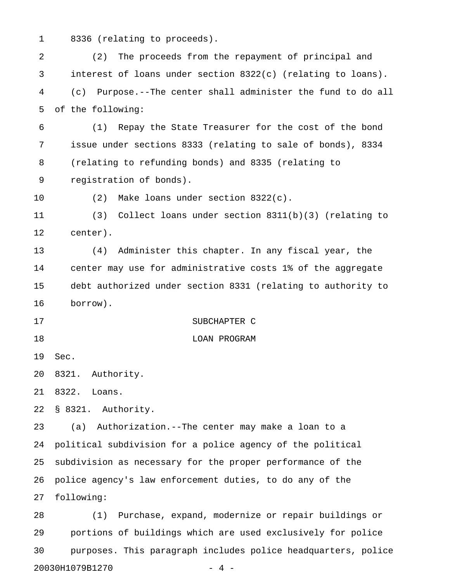1 8336 (relating to proceeds).

2 (2) The proceeds from the repayment of principal and 3 interest of loans under section 8322(c) (relating to loans). 4 (c) Purpose.--The center shall administer the fund to do all 5 of the following:

6 (1) Repay the State Treasurer for the cost of the bond 7 issue under sections 8333 (relating to sale of bonds), 8334 8 (relating to refunding bonds) and 8335 (relating to 9 registration of bonds).

10 (2) Make loans under section 8322(c).

11 (3) Collect loans under section 8311(b)(3) (relating to 12 center).

13 (4) Administer this chapter. In any fiscal year, the 14 center may use for administrative costs 1% of the aggregate 15 debt authorized under section 8331 (relating to authority to 16 borrow).

- 17 SUBCHAPTER C
- 18 LOAN PROGRAM

19 Sec.

20 8321. Authority.

21 8322. Loans.

22 § 8321. Authority.

23 (a) Authorization.--The center may make a loan to a 24 political subdivision for a police agency of the political 25 subdivision as necessary for the proper performance of the 26 police agency's law enforcement duties, to do any of the 27 following:

28 (1) Purchase, expand, modernize or repair buildings or 29 portions of buildings which are used exclusively for police 30 purposes. This paragraph includes police headquarters, police 20030H1079B1270 - 4 -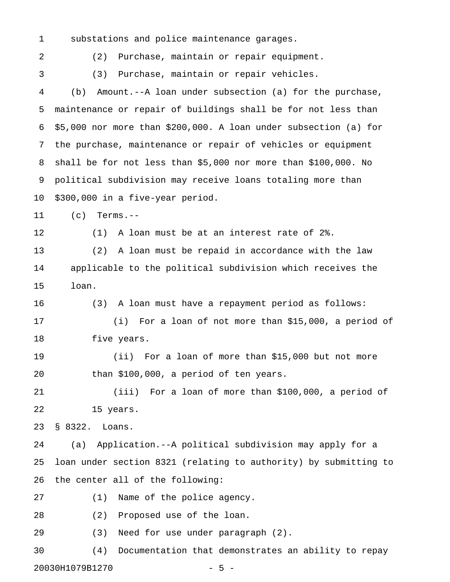1 substations and police maintenance garages.

2 (2) Purchase, maintain or repair equipment.

3 (3) Purchase, maintain or repair vehicles.

4 (b) Amount.--A loan under subsection (a) for the purchase, 5 maintenance or repair of buildings shall be for not less than 6 \$5,000 nor more than \$200,000. A loan under subsection (a) for 7 the purchase, maintenance or repair of vehicles or equipment 8 shall be for not less than \$5,000 nor more than \$100,000. No 9 political subdivision may receive loans totaling more than 10 \$300,000 in a five-year period.

11 (c) Terms.--

12 (1) A loan must be at an interest rate of 2%.

13 (2) A loan must be repaid in accordance with the law 14 applicable to the political subdivision which receives the 15 loan.

16 (3) A loan must have a repayment period as follows: 17 (i) For a loan of not more than \$15,000, a period of 18 five years.

19 (ii) For a loan of more than \$15,000 but not more 20 than \$100,000, a period of ten years.

21 (iii) For a loan of more than \$100,000, a period of 22 15 years.

23 § 8322. Loans.

24 (a) Application.--A political subdivision may apply for a 25 loan under section 8321 (relating to authority) by submitting to 26 the center all of the following:

27 (1) Name of the police agency.

28 (2) Proposed use of the loan.

29 (3) Need for use under paragraph (2).

30 (4) Documentation that demonstrates an ability to repay 20030H1079B1270 - 5 -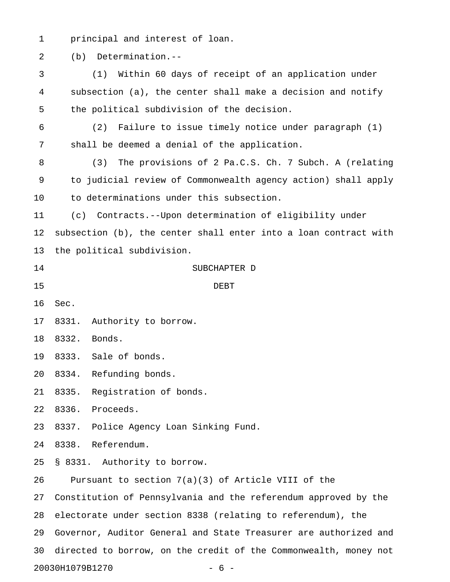1 principal and interest of loan.

2 (b) Determination.--

3 (1) Within 60 days of receipt of an application under 4 subsection (a), the center shall make a decision and notify 5 the political subdivision of the decision. 6 (2) Failure to issue timely notice under paragraph (1) 7 shall be deemed a denial of the application. 8 (3) The provisions of 2 Pa.C.S. Ch. 7 Subch. A (relating 9 to judicial review of Commonwealth agency action) shall apply 10 to determinations under this subsection. 11 (c) Contracts.--Upon determination of eligibility under 12 subsection (b), the center shall enter into a loan contract with 13 the political subdivision. 14 SUBCHAPTER D 15 DEBT 16 Sec. 17 8331. Authority to borrow. 18 8332. Bonds. 19 8333. Sale of bonds. 20 8334. Refunding bonds. 21 8335. Registration of bonds. 22 8336. Proceeds. 23 8337. Police Agency Loan Sinking Fund. 24 8338. Referendum. 25 § 8331. Authority to borrow. 26 Pursuant to section 7(a)(3) of Article VIII of the 27 Constitution of Pennsylvania and the referendum approved by the 28 electorate under section 8338 (relating to referendum), the 29 Governor, Auditor General and State Treasurer are authorized and 30 directed to borrow, on the credit of the Commonwealth, money not 20030H1079B1270 - 6 -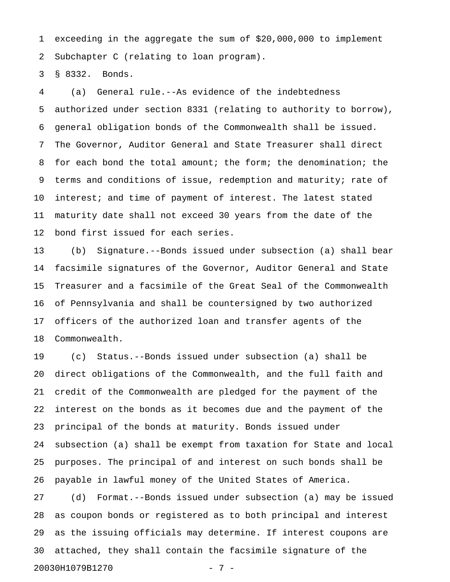1 exceeding in the aggregate the sum of \$20,000,000 to implement 2 Subchapter C (relating to loan program).

3 § 8332. Bonds.

4 (a) General rule.--As evidence of the indebtedness 5 authorized under section 8331 (relating to authority to borrow), 6 general obligation bonds of the Commonwealth shall be issued. 7 The Governor, Auditor General and State Treasurer shall direct 8 for each bond the total amount; the form; the denomination; the 9 terms and conditions of issue, redemption and maturity; rate of 10 interest; and time of payment of interest. The latest stated 11 maturity date shall not exceed 30 years from the date of the 12 bond first issued for each series.

13 (b) Signature.--Bonds issued under subsection (a) shall bear 14 facsimile signatures of the Governor, Auditor General and State 15 Treasurer and a facsimile of the Great Seal of the Commonwealth 16 of Pennsylvania and shall be countersigned by two authorized 17 officers of the authorized loan and transfer agents of the 18 Commonwealth.

19 (c) Status.--Bonds issued under subsection (a) shall be 20 direct obligations of the Commonwealth, and the full faith and 21 credit of the Commonwealth are pledged for the payment of the 22 interest on the bonds as it becomes due and the payment of the 23 principal of the bonds at maturity. Bonds issued under 24 subsection (a) shall be exempt from taxation for State and local 25 purposes. The principal of and interest on such bonds shall be 26 payable in lawful money of the United States of America.

27 (d) Format.--Bonds issued under subsection (a) may be issued 28 as coupon bonds or registered as to both principal and interest 29 as the issuing officials may determine. If interest coupons are 30 attached, they shall contain the facsimile signature of the 20030H1079B1270 - 7 -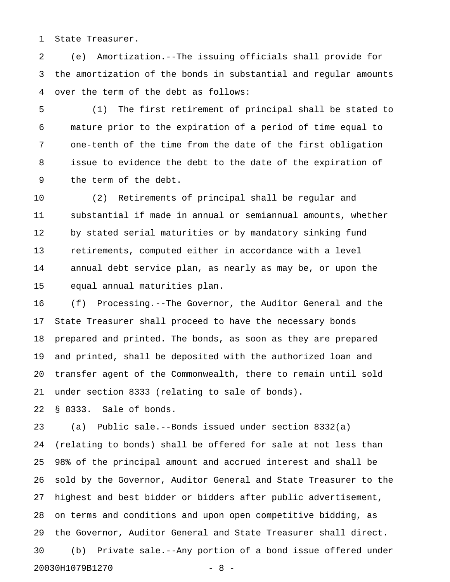1 State Treasurer.

2 (e) Amortization.--The issuing officials shall provide for 3 the amortization of the bonds in substantial and regular amounts 4 over the term of the debt as follows:

5 (1) The first retirement of principal shall be stated to 6 mature prior to the expiration of a period of time equal to 7 one-tenth of the time from the date of the first obligation 8 issue to evidence the debt to the date of the expiration of 9 the term of the debt.

10 (2) Retirements of principal shall be regular and 11 substantial if made in annual or semiannual amounts, whether 12 by stated serial maturities or by mandatory sinking fund 13 retirements, computed either in accordance with a level 14 annual debt service plan, as nearly as may be, or upon the 15 equal annual maturities plan.

16 (f) Processing.--The Governor, the Auditor General and the 17 State Treasurer shall proceed to have the necessary bonds 18 prepared and printed. The bonds, as soon as they are prepared 19 and printed, shall be deposited with the authorized loan and 20 transfer agent of the Commonwealth, there to remain until sold 21 under section 8333 (relating to sale of bonds).

22 § 8333. Sale of bonds.

23 (a) Public sale.--Bonds issued under section 8332(a) 24 (relating to bonds) shall be offered for sale at not less than 25 98% of the principal amount and accrued interest and shall be 26 sold by the Governor, Auditor General and State Treasurer to the 27 highest and best bidder or bidders after public advertisement, 28 on terms and conditions and upon open competitive bidding, as 29 the Governor, Auditor General and State Treasurer shall direct. 30 (b) Private sale.--Any portion of a bond issue offered under 20030H1079B1270 - 8 -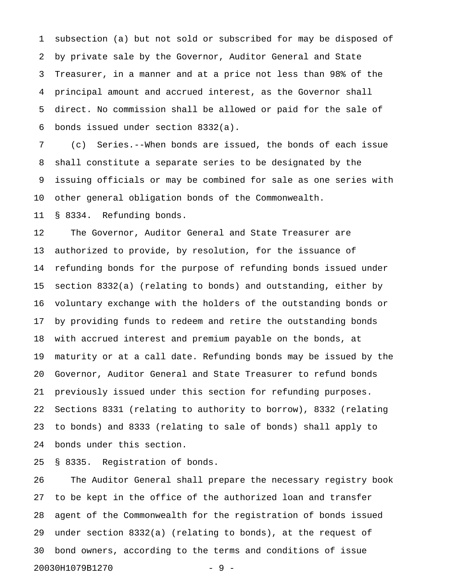1 subsection (a) but not sold or subscribed for may be disposed of 2 by private sale by the Governor, Auditor General and State 3 Treasurer, in a manner and at a price not less than 98% of the 4 principal amount and accrued interest, as the Governor shall 5 direct. No commission shall be allowed or paid for the sale of 6 bonds issued under section 8332(a).

7 (c) Series.--When bonds are issued, the bonds of each issue 8 shall constitute a separate series to be designated by the 9 issuing officials or may be combined for sale as one series with 10 other general obligation bonds of the Commonwealth.

11 § 8334. Refunding bonds.

12 The Governor, Auditor General and State Treasurer are 13 authorized to provide, by resolution, for the issuance of 14 refunding bonds for the purpose of refunding bonds issued under 15 section 8332(a) (relating to bonds) and outstanding, either by 16 voluntary exchange with the holders of the outstanding bonds or 17 by providing funds to redeem and retire the outstanding bonds 18 with accrued interest and premium payable on the bonds, at 19 maturity or at a call date. Refunding bonds may be issued by the 20 Governor, Auditor General and State Treasurer to refund bonds 21 previously issued under this section for refunding purposes. 22 Sections 8331 (relating to authority to borrow), 8332 (relating 23 to bonds) and 8333 (relating to sale of bonds) shall apply to 24 bonds under this section.

25 § 8335. Registration of bonds.

26 The Auditor General shall prepare the necessary registry book 27 to be kept in the office of the authorized loan and transfer 28 agent of the Commonwealth for the registration of bonds issued 29 under section 8332(a) (relating to bonds), at the request of 30 bond owners, according to the terms and conditions of issue 20030H1079B1270 - 9 -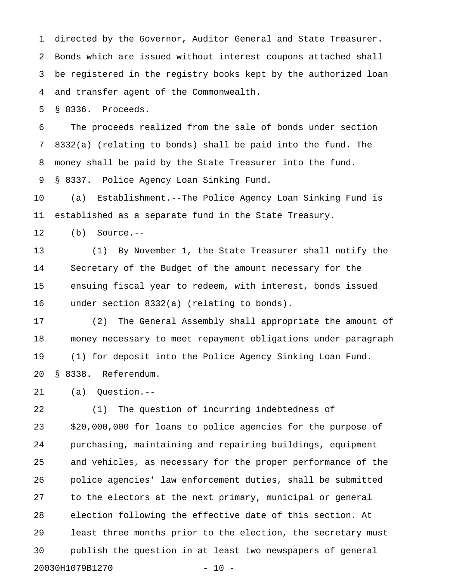1 directed by the Governor, Auditor General and State Treasurer. 2 Bonds which are issued without interest coupons attached shall 3 be registered in the registry books kept by the authorized loan 4 and transfer agent of the Commonwealth.

5 § 8336. Proceeds.

6 The proceeds realized from the sale of bonds under section 7 8332(a) (relating to bonds) shall be paid into the fund. The 8 money shall be paid by the State Treasurer into the fund. 9 § 8337. Police Agency Loan Sinking Fund.

10 (a) Establishment.--The Police Agency Loan Sinking Fund is 11 established as a separate fund in the State Treasury.

12 (b) Source.--

13 (1) By November 1, the State Treasurer shall notify the 14 Secretary of the Budget of the amount necessary for the 15 ensuing fiscal year to redeem, with interest, bonds issued 16 under section 8332(a) (relating to bonds).

17 (2) The General Assembly shall appropriate the amount of 18 money necessary to meet repayment obligations under paragraph 19 (1) for deposit into the Police Agency Sinking Loan Fund. 20 § 8338. Referendum.

21 (a) Question.--

22 (1) The question of incurring indebtedness of 23 \$20,000,000 for loans to police agencies for the purpose of 24 purchasing, maintaining and repairing buildings, equipment 25 and vehicles, as necessary for the proper performance of the 26 police agencies' law enforcement duties, shall be submitted 27 to the electors at the next primary, municipal or general 28 election following the effective date of this section. At 29 least three months prior to the election, the secretary must 30 publish the question in at least two newspapers of general 20030H1079B1270 - 10 -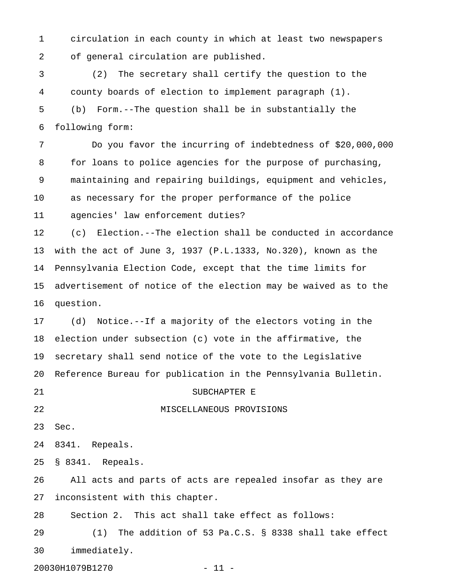1 circulation in each county in which at least two newspapers 2 of general circulation are published.

3 (2) The secretary shall certify the question to the 4 county boards of election to implement paragraph (1). 5 (b) Form.--The question shall be in substantially the 6 following form:

7 Do you favor the incurring of indebtedness of \$20,000,000 8 for loans to police agencies for the purpose of purchasing, 9 maintaining and repairing buildings, equipment and vehicles, 10 as necessary for the proper performance of the police 11 agencies' law enforcement duties?

12 (c) Election.--The election shall be conducted in accordance 13 with the act of June 3, 1937 (P.L.1333, No.320), known as the 14 Pennsylvania Election Code, except that the time limits for 15 advertisement of notice of the election may be waived as to the 16 question.

17 (d) Notice.--If a majority of the electors voting in the 18 election under subsection (c) vote in the affirmative, the 19 secretary shall send notice of the vote to the Legislative 20 Reference Bureau for publication in the Pennsylvania Bulletin.

21 SUBCHAPTER E

## 22 MISCELLANEOUS PROVISIONS

23 Sec.

24 8341. Repeals.

25 § 8341. Repeals.

26 All acts and parts of acts are repealed insofar as they are 27 inconsistent with this chapter.

28 Section 2. This act shall take effect as follows:

29 (1) The addition of 53 Pa.C.S. § 8338 shall take effect 30 immediately.

20030H1079B1270 - 11 -